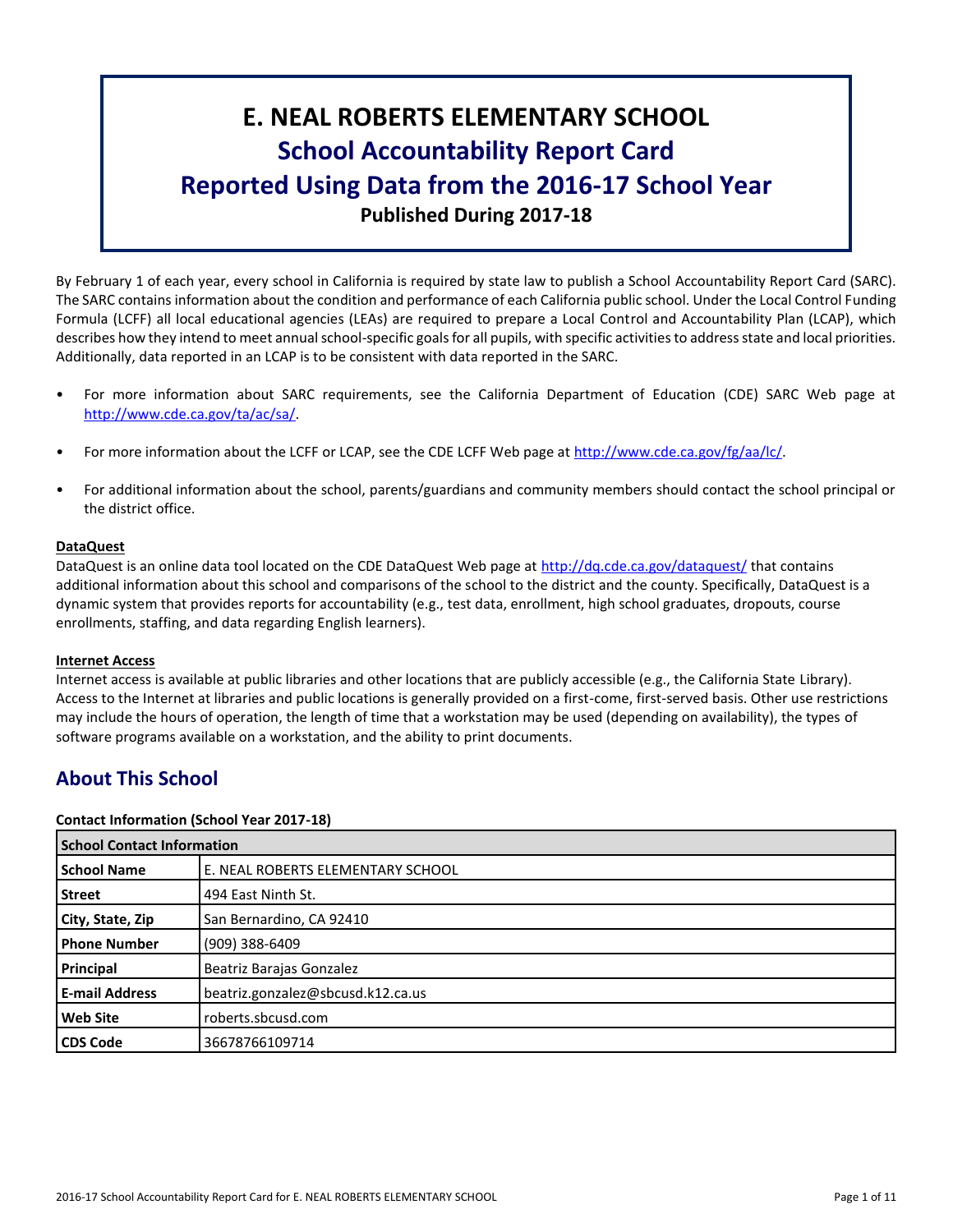# **E. NEAL ROBERTS ELEMENTARY SCHOOL School Accountability Report Card Reported Using Data from the 2016-17 School Year Published During 2017-18**

By February 1 of each year, every school in California is required by state law to publish a School Accountability Report Card (SARC). The SARC contains information about the condition and performance of each California public school. Under the Local Control Funding Formula (LCFF) all local educational agencies (LEAs) are required to prepare a Local Control and Accountability Plan (LCAP), which describes how they intend to meet annual school-specific goals for all pupils, with specific activities to address state and local priorities. Additionally, data reported in an LCAP is to be consistent with data reported in the SARC.

- For more information about SARC requirements, see the California Department of Education (CDE) SARC Web page at [http://www.cde.ca.gov/ta/ac/sa/.](http://www.cde.ca.gov/ta/ac/sa/)
- For more information about the LCFF or LCAP, see the CDE LCFF Web page at [http://www.cde.ca.gov/fg/aa/lc/.](http://www.cde.ca.gov/fg/aa/lc/)
- For additional information about the school, parents/guardians and community members should contact the school principal or the district office.

# **DataQuest**

DataQuest is an online data tool located on the CDE DataQuest Web page at<http://dq.cde.ca.gov/dataquest/> that contains additional information about this school and comparisons of the school to the district and the county. Specifically, DataQuest is a dynamic system that provides reports for accountability (e.g., test data, enrollment, high school graduates, dropouts, course enrollments, staffing, and data regarding English learners).

# **Internet Access**

Internet access is available at public libraries and other locations that are publicly accessible (e.g., the California State Library). Access to the Internet at libraries and public locations is generally provided on a first-come, first-served basis. Other use restrictions may include the hours of operation, the length of time that a workstation may be used (depending on availability), the types of software programs available on a workstation, and the ability to print documents.

# **About This School**

# **Contact Information (School Year 2017-18)**

| <b>School Contact Information</b> |                                   |  |  |  |
|-----------------------------------|-----------------------------------|--|--|--|
| <b>School Name</b>                | E. NEAL ROBERTS ELEMENTARY SCHOOL |  |  |  |
| <b>Street</b>                     | 494 East Ninth St.                |  |  |  |
| City, State, Zip                  | San Bernardino, CA 92410          |  |  |  |
| <b>Phone Number</b>               | (909) 388-6409                    |  |  |  |
| Principal                         | Beatriz Barajas Gonzalez          |  |  |  |
| <b>E-mail Address</b>             | beatriz.gonzalez@sbcusd.k12.ca.us |  |  |  |
| <b>Web Site</b>                   | roberts.sbcusd.com                |  |  |  |
| <b>CDS Code</b>                   | 36678766109714                    |  |  |  |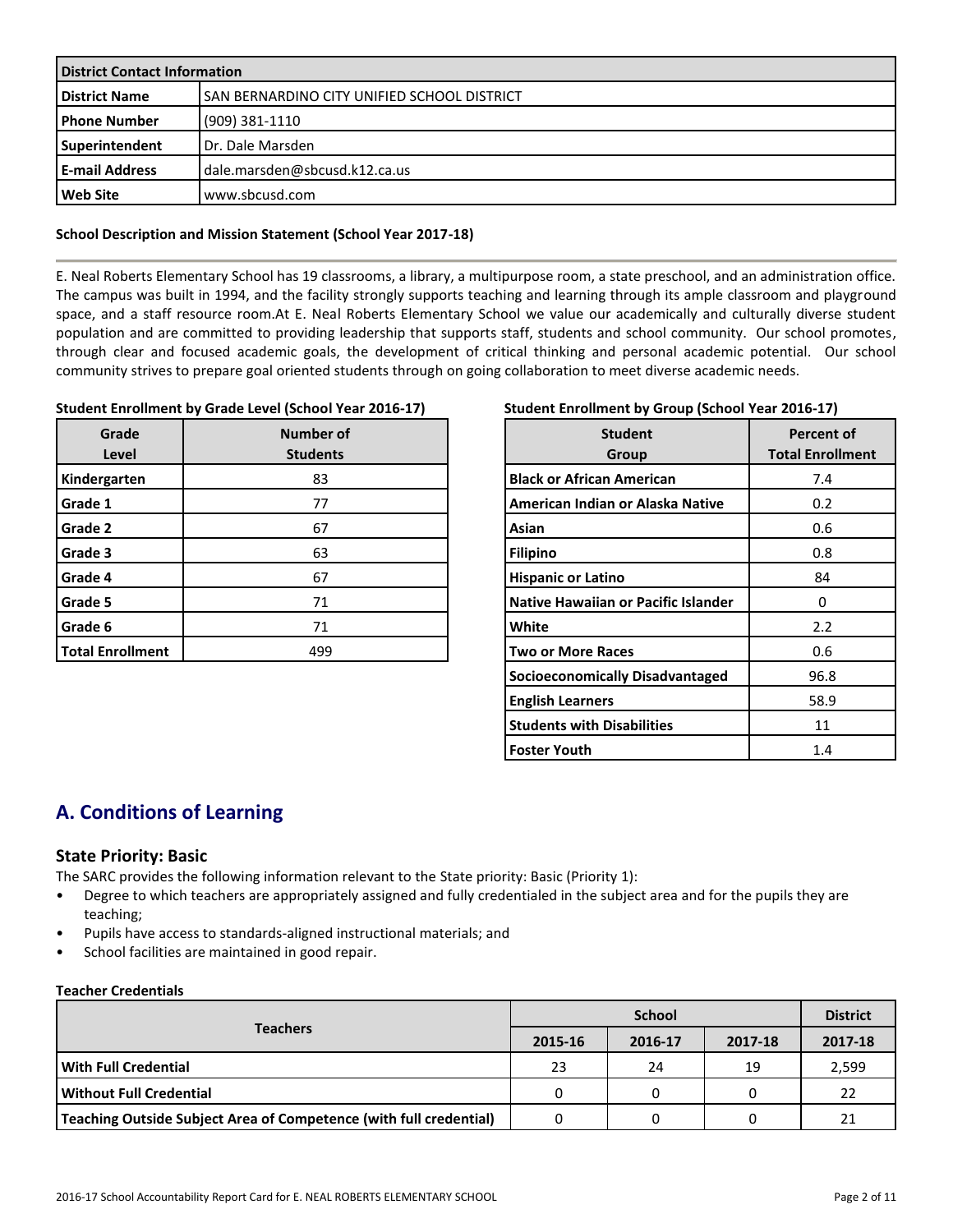| <b>District Contact Information</b> |                                             |  |  |  |
|-------------------------------------|---------------------------------------------|--|--|--|
| <b>District Name</b>                | SAN BERNARDINO CITY UNIFIED SCHOOL DISTRICT |  |  |  |
| <b>Phone Number</b>                 | (909) 381-1110                              |  |  |  |
| Superintendent                      | Dr. Dale Marsden                            |  |  |  |
| <b>E-mail Address</b>               | dale.marsden@sbcusd.k12.ca.us               |  |  |  |
| <b>Web Site</b>                     | www.sbcusd.com                              |  |  |  |

#### **School Description and Mission Statement (School Year 2017-18)**

E. Neal Roberts Elementary School has 19 classrooms, a library, a multipurpose room, a state preschool, and an administration office. The campus was built in 1994, and the facility strongly supports teaching and learning through its ample classroom and playground space, and a staff resource room.At E. Neal Roberts Elementary School we value our academically and culturally diverse student population and are committed to providing leadership that supports staff, students and school community. Our school promotes, through clear and focused academic goals, the development of critical thinking and personal academic potential. Our school community strives to prepare goal oriented students through on going collaboration to meet diverse academic needs.

# **Student Enrollment by Grade Level (School Year 2016-17)**

| Grade<br>Level          | Number of<br><b>Students</b> |
|-------------------------|------------------------------|
| Kindergarten            | 83                           |
| Grade 1                 | 77                           |
| Grade 2                 | 67                           |
| Grade 3                 | 63                           |
| Grade 4                 | 67                           |
| Grade 5                 | 71                           |
| Grade 6                 | 71                           |
| <b>Total Enrollment</b> | 499                          |

# **Student Enrollment by Group (School Year 2016-17)**

| <b>Student</b><br>Group                    | Percent of<br><b>Total Enrollment</b> |
|--------------------------------------------|---------------------------------------|
| <b>Black or African American</b>           | 7.4                                   |
| American Indian or Alaska Native           | 0.2                                   |
| Asian                                      | 0.6                                   |
| <b>Filipino</b>                            | 0.8                                   |
| <b>Hispanic or Latino</b>                  | 84                                    |
| <b>Native Hawaiian or Pacific Islander</b> | 0                                     |
| White                                      | 2.2                                   |
| <b>Two or More Races</b>                   | 0.6                                   |
| <b>Socioeconomically Disadvantaged</b>     | 96.8                                  |
| <b>English Learners</b>                    | 58.9                                  |
| <b>Students with Disabilities</b>          | 11                                    |
| <b>Foster Youth</b>                        | 1.4                                   |

# **A. Conditions of Learning**

# **State Priority: Basic**

The SARC provides the following information relevant to the State priority: Basic (Priority 1):

- Degree to which teachers are appropriately assigned and fully credentialed in the subject area and for the pupils they are teaching;
- Pupils have access to standards-aligned instructional materials; and
- School facilities are maintained in good repair.

#### **Teacher Credentials**

|                                                                    |         | <b>District</b> |         |         |
|--------------------------------------------------------------------|---------|-----------------|---------|---------|
| <b>Teachers</b>                                                    | 2015-16 | 2016-17         | 2017-18 | 2017-18 |
| With Full Credential                                               | 23      | 24              | 19      | 2,599   |
| Without Full Credential                                            |         |                 |         | 22      |
| Teaching Outside Subject Area of Competence (with full credential) |         |                 |         | 21      |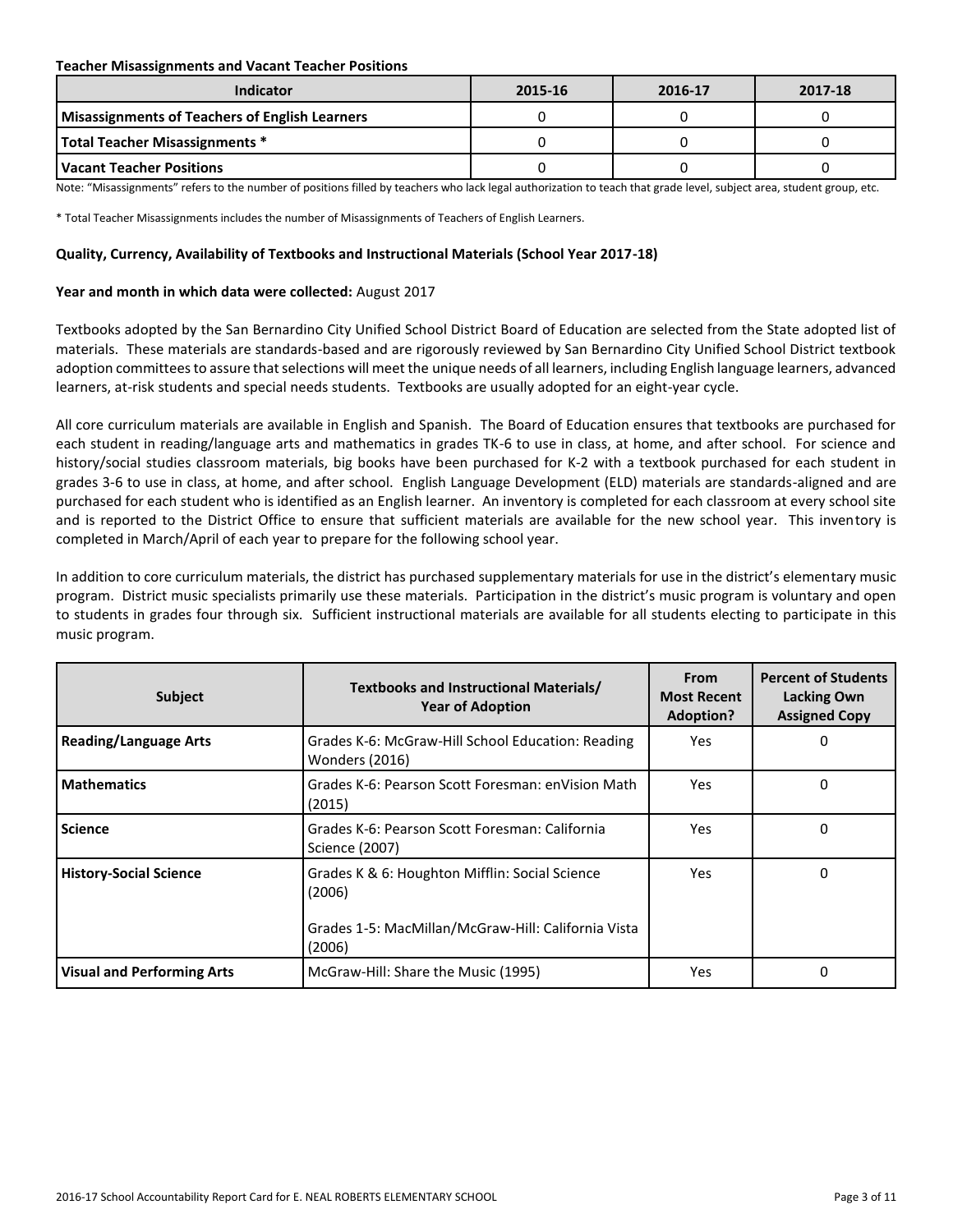#### **Teacher Misassignments and Vacant Teacher Positions**

| Indicator                                             | 2015-16 | 2016-17 | 2017-18 |
|-------------------------------------------------------|---------|---------|---------|
| <b>Misassignments of Teachers of English Learners</b> |         |         |         |
| <b>Total Teacher Misassignments *</b>                 |         |         |         |
| l Vacant Teacher Positions                            |         |         |         |

Note: "Misassignments" refers to the number of positions filled by teachers who lack legal authorization to teach that grade level, subject area, student group, etc.

\* Total Teacher Misassignments includes the number of Misassignments of Teachers of English Learners.

#### **Quality, Currency, Availability of Textbooks and Instructional Materials (School Year 2017-18)**

#### **Year and month in which data were collected:** August 2017

Textbooks adopted by the San Bernardino City Unified School District Board of Education are selected from the State adopted list of materials. These materials are standards-based and are rigorously reviewed by San Bernardino City Unified School District textbook adoption committees to assure that selections will meet the unique needs of all learners, including English language learners, advanced learners, at-risk students and special needs students. Textbooks are usually adopted for an eight-year cycle.

All core curriculum materials are available in English and Spanish. The Board of Education ensures that textbooks are purchased for each student in reading/language arts and mathematics in grades TK-6 to use in class, at home, and after school. For science and history/social studies classroom materials, big books have been purchased for K-2 with a textbook purchased for each student in grades 3-6 to use in class, at home, and after school. English Language Development (ELD) materials are standards-aligned and are purchased for each student who is identified as an English learner. An inventory is completed for each classroom at every school site and is reported to the District Office to ensure that sufficient materials are available for the new school year. This inventory is completed in March/April of each year to prepare for the following school year.

In addition to core curriculum materials, the district has purchased supplementary materials for use in the district's elementary music program. District music specialists primarily use these materials. Participation in the district's music program is voluntary and open to students in grades four through six. Sufficient instructional materials are available for all students electing to participate in this music program.

| <b>Subject</b>                    | Textbooks and Instructional Materials/<br><b>Year of Adoption</b>                                                         | <b>From</b><br><b>Most Recent</b><br><b>Adoption?</b> | <b>Percent of Students</b><br><b>Lacking Own</b><br><b>Assigned Copy</b> |
|-----------------------------------|---------------------------------------------------------------------------------------------------------------------------|-------------------------------------------------------|--------------------------------------------------------------------------|
| <b>Reading/Language Arts</b>      | Grades K-6: McGraw-Hill School Education: Reading<br>Wonders (2016)                                                       | Yes                                                   | 0                                                                        |
| <b>Mathematics</b>                | Grades K-6: Pearson Scott Foresman: enVision Math<br>(2015)                                                               | Yes                                                   | 0                                                                        |
| <b>Science</b>                    | Grades K-6: Pearson Scott Foresman: California<br>Science (2007)                                                          | Yes.                                                  | 0                                                                        |
| <b>History-Social Science</b>     | Grades K & 6: Houghton Mifflin: Social Science<br>(2006)<br>Grades 1-5: MacMillan/McGraw-Hill: California Vista<br>(2006) | Yes                                                   | 0                                                                        |
| <b>Visual and Performing Arts</b> | McGraw-Hill: Share the Music (1995)                                                                                       | Yes                                                   | 0                                                                        |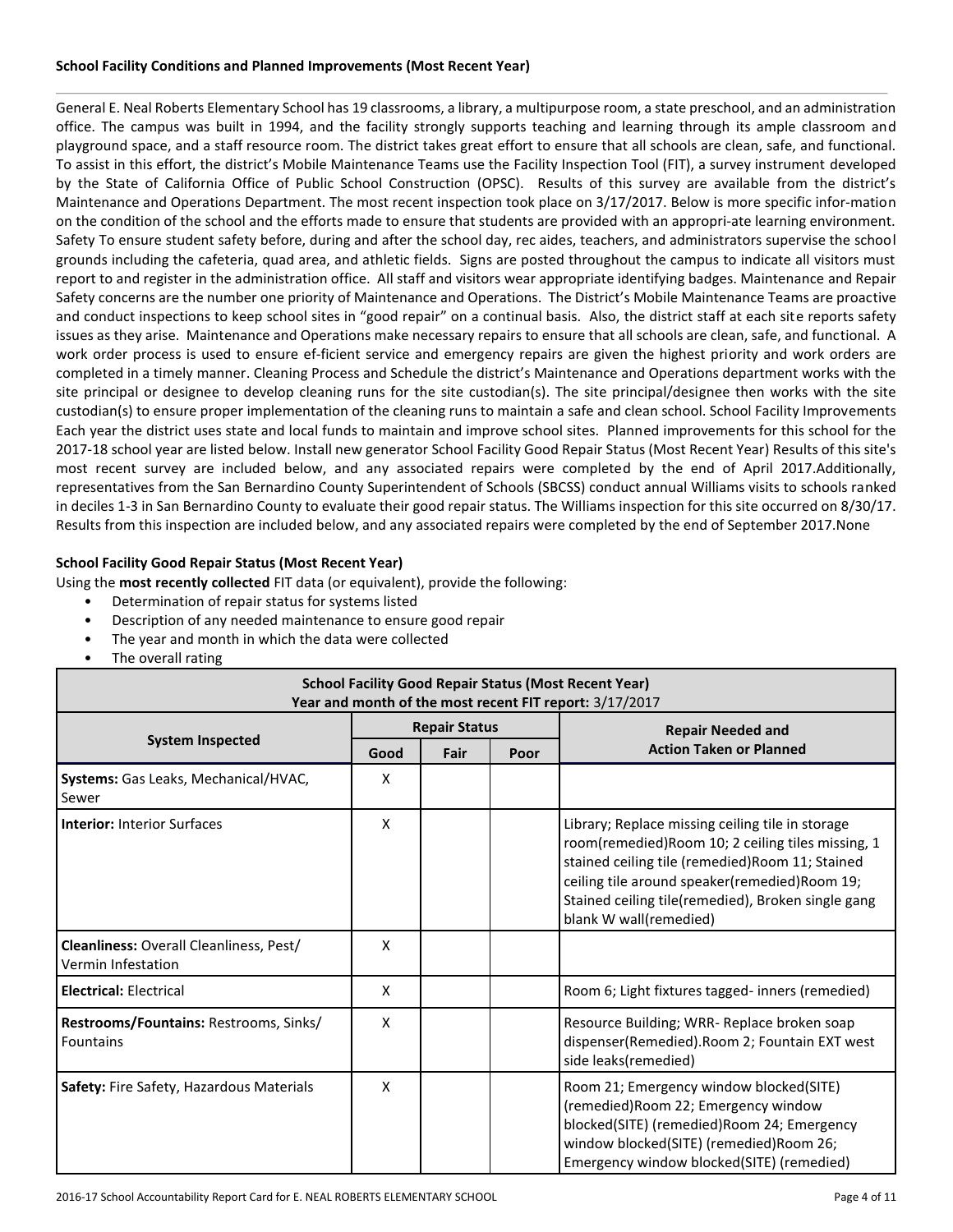#### **School Facility Conditions and Planned Improvements (Most Recent Year)**

General E. Neal Roberts Elementary School has 19 classrooms, a library, a multipurpose room, a state preschool, and an administration office. The campus was built in 1994, and the facility strongly supports teaching and learning through its ample classroom and playground space, and a staff resource room. The district takes great effort to ensure that all schools are clean, safe, and functional. To assist in this effort, the district's Mobile Maintenance Teams use the Facility Inspection Tool (FIT), a survey instrument developed by the State of California Office of Public School Construction (OPSC). Results of this survey are available from the district's Maintenance and Operations Department. The most recent inspection took place on 3/17/2017. Below is more specific infor-mation on the condition of the school and the efforts made to ensure that students are provided with an appropri-ate learning environment. Safety To ensure student safety before, during and after the school day, rec aides, teachers, and administrators supervise the school grounds including the cafeteria, quad area, and athletic fields. Signs are posted throughout the campus to indicate all visitors must report to and register in the administration office. All staff and visitors wear appropriate identifying badges. Maintenance and Repair Safety concerns are the number one priority of Maintenance and Operations. The District's Mobile Maintenance Teams are proactive and conduct inspections to keep school sites in "good repair" on a continual basis. Also, the district staff at each site reports safety issues as they arise. Maintenance and Operations make necessary repairs to ensure that all schools are clean, safe, and functional. A work order process is used to ensure ef-ficient service and emergency repairs are given the highest priority and work orders are completed in a timely manner. Cleaning Process and Schedule the district's Maintenance and Operations department works with the site principal or designee to develop cleaning runs for the site custodian(s). The site principal/designee then works with the site custodian(s) to ensure proper implementation of the cleaning runs to maintain a safe and clean school. School Facility Improvements Each year the district uses state and local funds to maintain and improve school sites. Planned improvements for this school for the 2017-18 school year are listed below. Install new generator School Facility Good Repair Status (Most Recent Year) Results of this site's most recent survey are included below, and any associated repairs were completed by the end of April 2017.Additionally, representatives from the San Bernardino County Superintendent of Schools (SBCSS) conduct annual Williams visits to schools ranked in deciles 1-3 in San Bernardino County to evaluate their good repair status. The Williams inspection for this site occurred on 8/30/17. Results from this inspection are included below, and any associated repairs were completed by the end of September 2017.None

# **School Facility Good Repair Status (Most Recent Year)**

Using the **most recently collected** FIT data (or equivalent), provide the following:

- Determination of repair status for systems listed
- Description of any needed maintenance to ensure good repair
- The year and month in which the data were collected
- The overall rating

| <b>School Facility Good Repair Status (Most Recent Year)</b><br>Year and month of the most recent FIT report: 3/17/2017 |      |                      |      |                                                                                                                                                                                                                                                                                            |  |  |  |  |
|-------------------------------------------------------------------------------------------------------------------------|------|----------------------|------|--------------------------------------------------------------------------------------------------------------------------------------------------------------------------------------------------------------------------------------------------------------------------------------------|--|--|--|--|
|                                                                                                                         |      | <b>Repair Status</b> |      | <b>Repair Needed and</b>                                                                                                                                                                                                                                                                   |  |  |  |  |
| <b>System Inspected</b>                                                                                                 | Good | Fair                 | Poor | <b>Action Taken or Planned</b>                                                                                                                                                                                                                                                             |  |  |  |  |
| Systems: Gas Leaks, Mechanical/HVAC,<br>Sewer                                                                           | х    |                      |      |                                                                                                                                                                                                                                                                                            |  |  |  |  |
| <b>Interior: Interior Surfaces</b>                                                                                      | X    |                      |      | Library; Replace missing ceiling tile in storage<br>room(remedied)Room 10; 2 ceiling tiles missing, 1<br>stained ceiling tile (remedied) Room 11; Stained<br>ceiling tile around speaker(remedied)Room 19;<br>Stained ceiling tile(remedied), Broken single gang<br>blank W wall(remedied) |  |  |  |  |
| Cleanliness: Overall Cleanliness, Pest/<br>Vermin Infestation                                                           | Χ    |                      |      |                                                                                                                                                                                                                                                                                            |  |  |  |  |
| <b>Electrical: Electrical</b>                                                                                           | X    |                      |      | Room 6; Light fixtures tagged- inners (remedied)                                                                                                                                                                                                                                           |  |  |  |  |
| Restrooms/Fountains: Restrooms, Sinks/<br>Fountains                                                                     | X    |                      |      | Resource Building; WRR- Replace broken soap<br>dispenser(Remedied). Room 2; Fountain EXT west<br>side leaks(remedied)                                                                                                                                                                      |  |  |  |  |
| Safety: Fire Safety, Hazardous Materials                                                                                | x    |                      |      | Room 21; Emergency window blocked(SITE)<br>(remedied) Room 22; Emergency window<br>blocked(SITE) (remedied) Room 24; Emergency<br>window blocked(SITE) (remedied)Room 26;<br>Emergency window blocked(SITE) (remedied)                                                                     |  |  |  |  |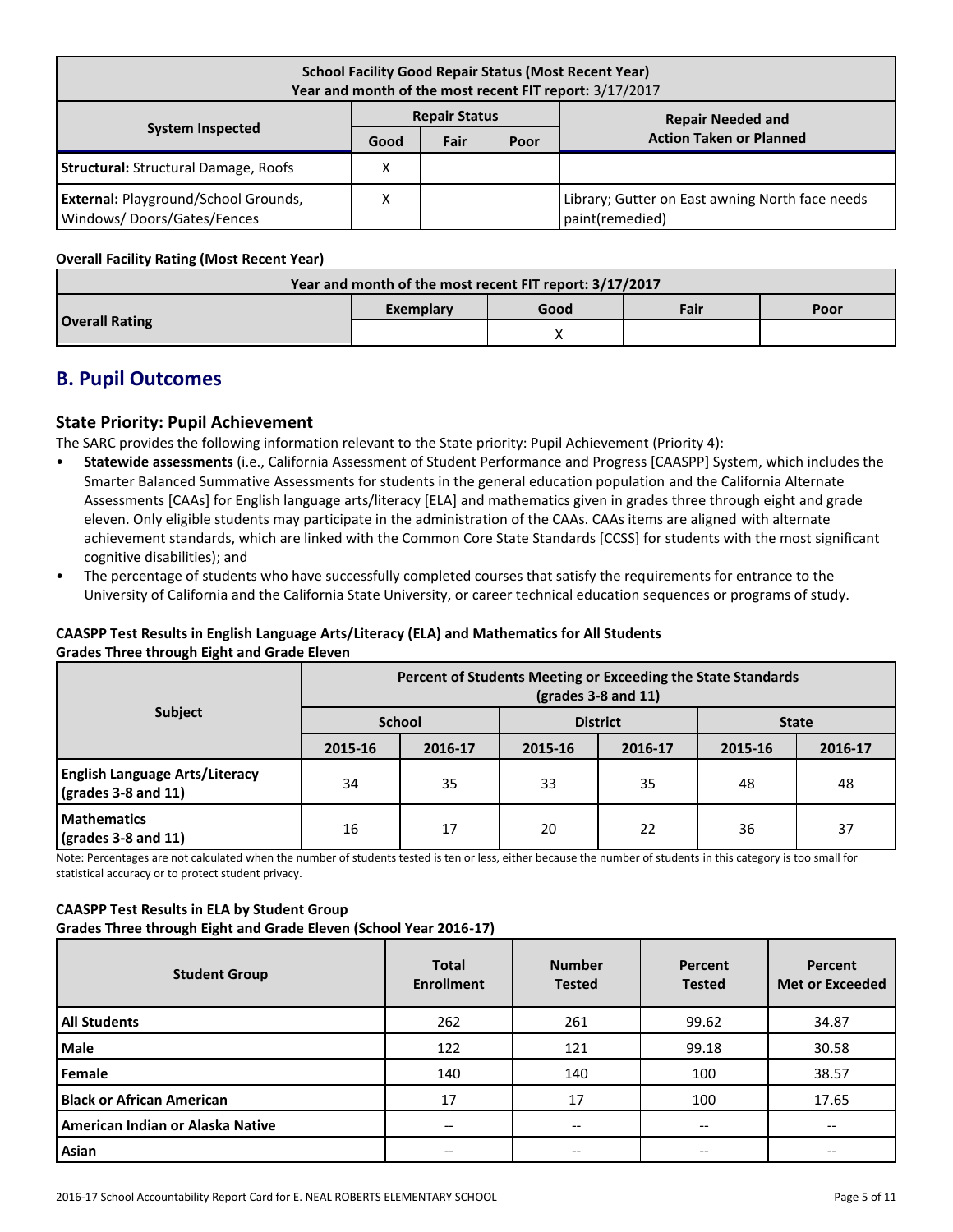| <b>School Facility Good Repair Status (Most Recent Year)</b><br>Year and month of the most recent FIT report: 3/17/2017 |      |      |      |                                                                    |  |  |  |
|-------------------------------------------------------------------------------------------------------------------------|------|------|------|--------------------------------------------------------------------|--|--|--|
| <b>Repair Status</b><br><b>Repair Needed and</b>                                                                        |      |      |      |                                                                    |  |  |  |
| <b>System Inspected</b>                                                                                                 | Good | Fair | Poor | <b>Action Taken or Planned</b>                                     |  |  |  |
| <b>Structural: Structural Damage, Roofs</b>                                                                             | х    |      |      |                                                                    |  |  |  |
| <b>External: Playground/School Grounds,</b><br>Windows/Doors/Gates/Fences                                               | х    |      |      | Library; Gutter on East awning North face needs<br>paint(remedied) |  |  |  |

# **Overall Facility Rating (Most Recent Year)**

| Year and month of the most recent FIT report: 3/17/2017 |           |      |      |      |  |  |
|---------------------------------------------------------|-----------|------|------|------|--|--|
|                                                         | Exemplary | Good | Fair | Poor |  |  |
| <b>Overall Rating</b>                                   |           |      |      |      |  |  |

# **B. Pupil Outcomes**

# **State Priority: Pupil Achievement**

The SARC provides the following information relevant to the State priority: Pupil Achievement (Priority 4):

- **Statewide assessments** (i.e., California Assessment of Student Performance and Progress [CAASPP] System, which includes the Smarter Balanced Summative Assessments for students in the general education population and the California Alternate Assessments [CAAs] for English language arts/literacy [ELA] and mathematics given in grades three through eight and grade eleven. Only eligible students may participate in the administration of the CAAs. CAAs items are aligned with alternate achievement standards, which are linked with the Common Core State Standards [CCSS] for students with the most significant cognitive disabilities); and
- The percentage of students who have successfully completed courses that satisfy the requirements for entrance to the University of California and the California State University, or career technical education sequences or programs of study.

# **CAASPP Test Results in English Language Arts/Literacy (ELA) and Mathematics for All Students Grades Three through Eight and Grade Eleven**

|                                                                      | Percent of Students Meeting or Exceeding the State Standards<br>$\left(\text{grades }3 - 8 \text{ and } 11\right)$ |         |                 |         |              |         |  |
|----------------------------------------------------------------------|--------------------------------------------------------------------------------------------------------------------|---------|-----------------|---------|--------------|---------|--|
| <b>Subject</b>                                                       | <b>School</b>                                                                                                      |         | <b>District</b> |         | <b>State</b> |         |  |
|                                                                      | 2015-16                                                                                                            | 2016-17 | 2015-16         | 2016-17 | 2015-16      | 2016-17 |  |
| <b>English Language Arts/Literacy</b><br>$\sqrt{grades}$ 3-8 and 11) | 34                                                                                                                 | 35      | 33              | 35      | 48           | 48      |  |
| <b>Mathematics</b><br>$\sqrt{\frac{1}{2}}$ (grades 3-8 and 11)       | 16                                                                                                                 | 17      | 20              | 22      | 36           | 37      |  |

Note: Percentages are not calculated when the number of students tested is ten or less, either because the number of students in this category is too small for statistical accuracy or to protect student privacy.

# **CAASPP Test Results in ELA by Student Group**

**Grades Three through Eight and Grade Eleven (School Year 2016-17)**

| <b>Student Group</b>             | <b>Total</b><br><b>Enrollment</b> | <b>Number</b><br><b>Tested</b>        | Percent<br><b>Tested</b> | Percent<br><b>Met or Exceeded</b> |
|----------------------------------|-----------------------------------|---------------------------------------|--------------------------|-----------------------------------|
| <b>All Students</b>              | 262                               | 261                                   | 99.62                    | 34.87                             |
| <b>Male</b>                      | 122                               | 121                                   | 99.18                    | 30.58                             |
| Female                           | 140                               | 140                                   | 100                      | 38.57                             |
| <b>Black or African American</b> | 17                                | 17                                    | 100                      | 17.65                             |
| American Indian or Alaska Native | --                                | $\hspace{0.05cm}$ – $\hspace{0.05cm}$ | --                       |                                   |
| Asian                            | --                                | $\hspace{0.05cm}$ – $\hspace{0.05cm}$ | --                       |                                   |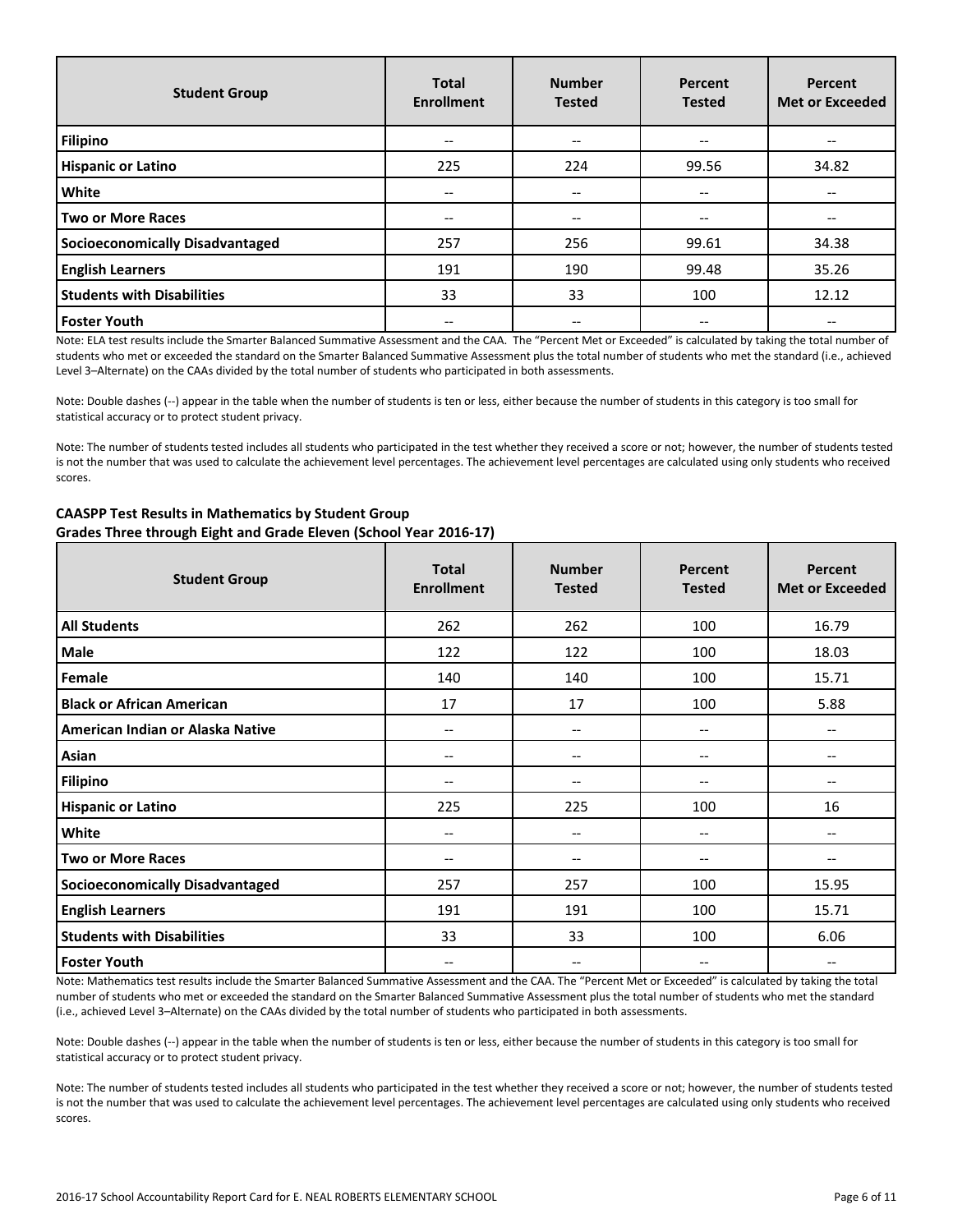| <b>Student Group</b>              | <b>Total</b><br><b>Enrollment</b> | <b>Number</b><br><b>Tested</b> | Percent<br><b>Tested</b> | Percent<br><b>Met or Exceeded</b> |
|-----------------------------------|-----------------------------------|--------------------------------|--------------------------|-----------------------------------|
| <b>Filipino</b>                   | $-$                               | --                             | --                       |                                   |
| <b>Hispanic or Latino</b>         | 225                               | 224                            | 99.56                    | 34.82                             |
| <b>White</b>                      | $-$                               | --                             | $- -$                    |                                   |
| Two or More Races                 | $- -$                             | --                             | $- -$                    | $- -$                             |
| Socioeconomically Disadvantaged   | 257                               | 256                            | 99.61                    | 34.38                             |
| <b>English Learners</b>           | 191                               | 190                            | 99.48                    | 35.26                             |
| <b>Students with Disabilities</b> | 33                                | 33                             | 100                      | 12.12                             |
| <b>Foster Youth</b>               |                                   | --                             | --                       |                                   |

Note: ELA test results include the Smarter Balanced Summative Assessment and the CAA. The "Percent Met or Exceeded" is calculated by taking the total number of students who met or exceeded the standard on the Smarter Balanced Summative Assessment plus the total number of students who met the standard (i.e., achieved Level 3–Alternate) on the CAAs divided by the total number of students who participated in both assessments.

Note: Double dashes (--) appear in the table when the number of students is ten or less, either because the number of students in this category is too small for statistical accuracy or to protect student privacy.

Note: The number of students tested includes all students who participated in the test whether they received a score or not; however, the number of students tested is not the number that was used to calculate the achievement level percentages. The achievement level percentages are calculated using only students who received scores.

| <b>Student Group</b>                   | <b>Total</b><br><b>Enrollment</b> | <b>Number</b><br><b>Tested</b>        | Percent<br><b>Tested</b> | <b>Percent</b><br><b>Met or Exceeded</b> |
|----------------------------------------|-----------------------------------|---------------------------------------|--------------------------|------------------------------------------|
| <b>All Students</b>                    | 262                               | 262                                   | 100                      | 16.79                                    |
| <b>Male</b>                            | 122                               | 122                                   | 100                      | 18.03                                    |
| Female                                 | 140                               | 140                                   | 100                      | 15.71                                    |
| <b>Black or African American</b>       | 17                                | 17                                    | 100                      | 5.88                                     |
| American Indian or Alaska Native       | --                                | $\hspace{0.05cm} \ldots$              | $\hspace{0.05cm} \ldots$ | --                                       |
| Asian                                  | --                                | $\hspace{0.05cm}$ – $\hspace{0.05cm}$ | --                       |                                          |
| <b>Filipino</b>                        | --                                | $\hspace{0.05cm}$ – $\hspace{0.05cm}$ | --                       |                                          |
| <b>Hispanic or Latino</b>              | 225                               | 225                                   | 100                      | 16                                       |
| White                                  | --                                | $\hspace{0.05cm}$ $\hspace{0.05cm}$   | --                       | --                                       |
| <b>Two or More Races</b>               | --                                | --                                    | --                       |                                          |
| <b>Socioeconomically Disadvantaged</b> | 257                               | 257                                   | 100                      | 15.95                                    |
| <b>English Learners</b>                | 191                               | 191                                   | 100                      | 15.71                                    |
| <b>Students with Disabilities</b>      | 33                                | 33                                    | 100                      | 6.06                                     |
| <b>Foster Youth</b>                    | --                                | --                                    | --                       |                                          |

# **CAASPP Test Results in Mathematics by Student Group Grades Three through Eight and Grade Eleven (School Year 2016-17)**

Note: Mathematics test results include the Smarter Balanced Summative Assessment and the CAA. The "Percent Met or Exceeded" is calculated by taking the total number of students who met or exceeded the standard on the Smarter Balanced Summative Assessment plus the total number of students who met the standard (i.e., achieved Level 3–Alternate) on the CAAs divided by the total number of students who participated in both assessments.

Note: Double dashes (--) appear in the table when the number of students is ten or less, either because the number of students in this category is too small for statistical accuracy or to protect student privacy.

Note: The number of students tested includes all students who participated in the test whether they received a score or not; however, the number of students tested is not the number that was used to calculate the achievement level percentages. The achievement level percentages are calculated using only students who received scores.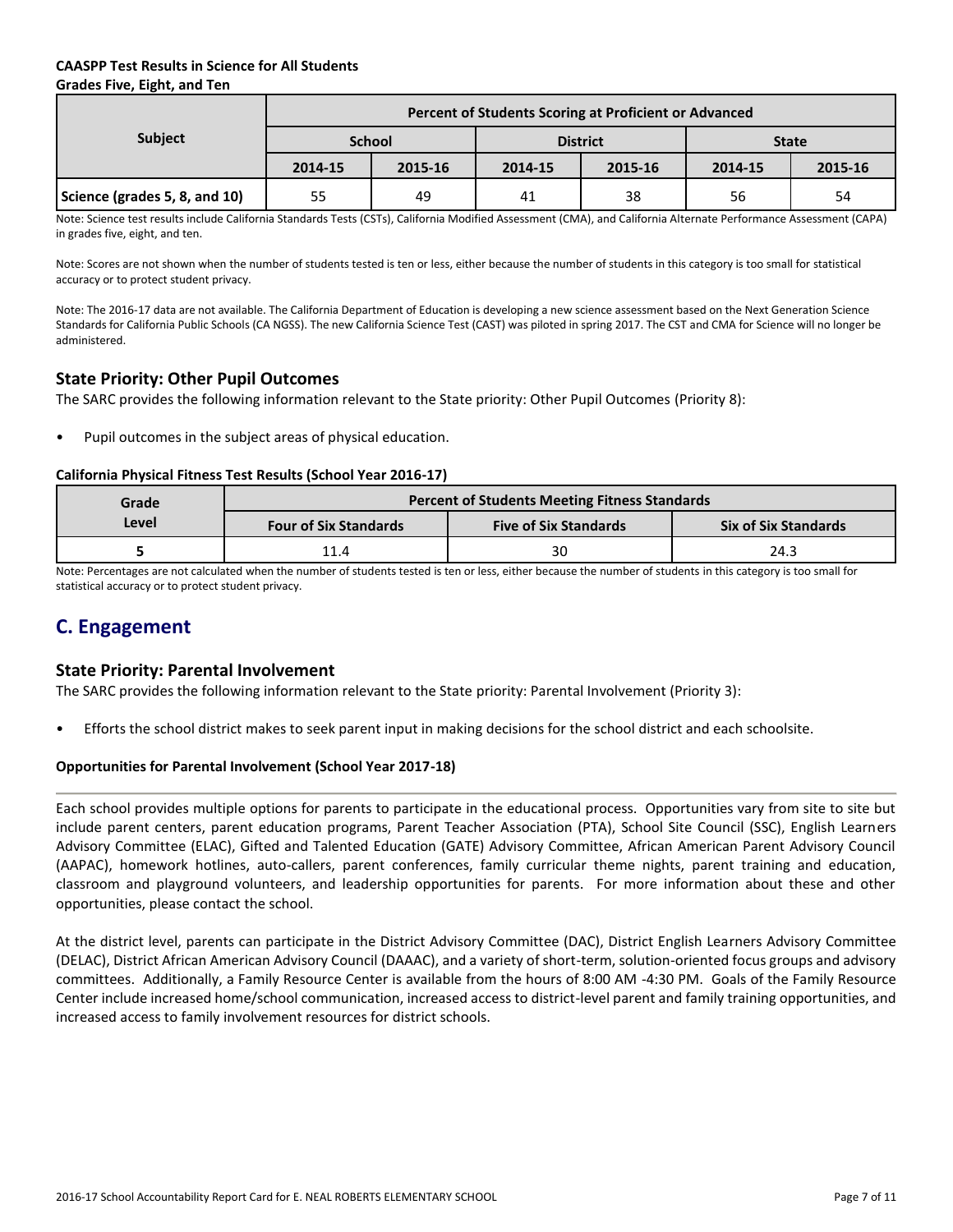# **CAASPP Test Results in Science for All Students Grades Five, Eight, and Ten**

|                               | Percent of Students Scoring at Proficient or Advanced |         |         |                 |              |         |  |  |  |
|-------------------------------|-------------------------------------------------------|---------|---------|-----------------|--------------|---------|--|--|--|
| <b>Subject</b>                | <b>School</b>                                         |         |         | <b>District</b> | <b>State</b> |         |  |  |  |
|                               | 2014-15                                               | 2015-16 | 2014-15 | 2015-16         | 2014-15      | 2015-16 |  |  |  |
| Science (grades 5, 8, and 10) | 55                                                    | 49      | 41      | 38              | 56           | 54      |  |  |  |

Note: Science test results include California Standards Tests (CSTs), California Modified Assessment (CMA), and California Alternate Performance Assessment (CAPA) in grades five, eight, and ten.

Note: Scores are not shown when the number of students tested is ten or less, either because the number of students in this category is too small for statistical accuracy or to protect student privacy.

Note: The 2016-17 data are not available. The California Department of Education is developing a new science assessment based on the Next Generation Science Standards for California Public Schools (CA NGSS). The new California Science Test (CAST) was piloted in spring 2017. The CST and CMA for Science will no longer be administered.

# **State Priority: Other Pupil Outcomes**

The SARC provides the following information relevant to the State priority: Other Pupil Outcomes (Priority 8):

Pupil outcomes in the subject areas of physical education.

#### **California Physical Fitness Test Results (School Year 2016-17)**

| Grade | <b>Percent of Students Meeting Fitness Standards</b> |                              |                             |  |  |  |  |
|-------|------------------------------------------------------|------------------------------|-----------------------------|--|--|--|--|
| Level | <b>Four of Six Standards</b>                         | <b>Five of Six Standards</b> | <b>Six of Six Standards</b> |  |  |  |  |
|       | 11.4                                                 | 30                           | 24.3                        |  |  |  |  |

Note: Percentages are not calculated when the number of students tested is ten or less, either because the number of students in this category is too small for statistical accuracy or to protect student privacy.

# **C. Engagement**

# **State Priority: Parental Involvement**

The SARC provides the following information relevant to the State priority: Parental Involvement (Priority 3):

• Efforts the school district makes to seek parent input in making decisions for the school district and each schoolsite.

# **Opportunities for Parental Involvement (School Year 2017-18)**

Each school provides multiple options for parents to participate in the educational process. Opportunities vary from site to site but include parent centers, parent education programs, Parent Teacher Association (PTA), School Site Council (SSC), English Learners Advisory Committee (ELAC), Gifted and Talented Education (GATE) Advisory Committee, African American Parent Advisory Council (AAPAC), homework hotlines, auto-callers, parent conferences, family curricular theme nights, parent training and education, classroom and playground volunteers, and leadership opportunities for parents. For more information about these and other opportunities, please contact the school.

At the district level, parents can participate in the District Advisory Committee (DAC), District English Learners Advisory Committee (DELAC), District African American Advisory Council (DAAAC), and a variety of short-term, solution-oriented focus groups and advisory committees. Additionally, a Family Resource Center is available from the hours of 8:00 AM -4:30 PM. Goals of the Family Resource Center include increased home/school communication, increased access to district-level parent and family training opportunities, and increased access to family involvement resources for district schools.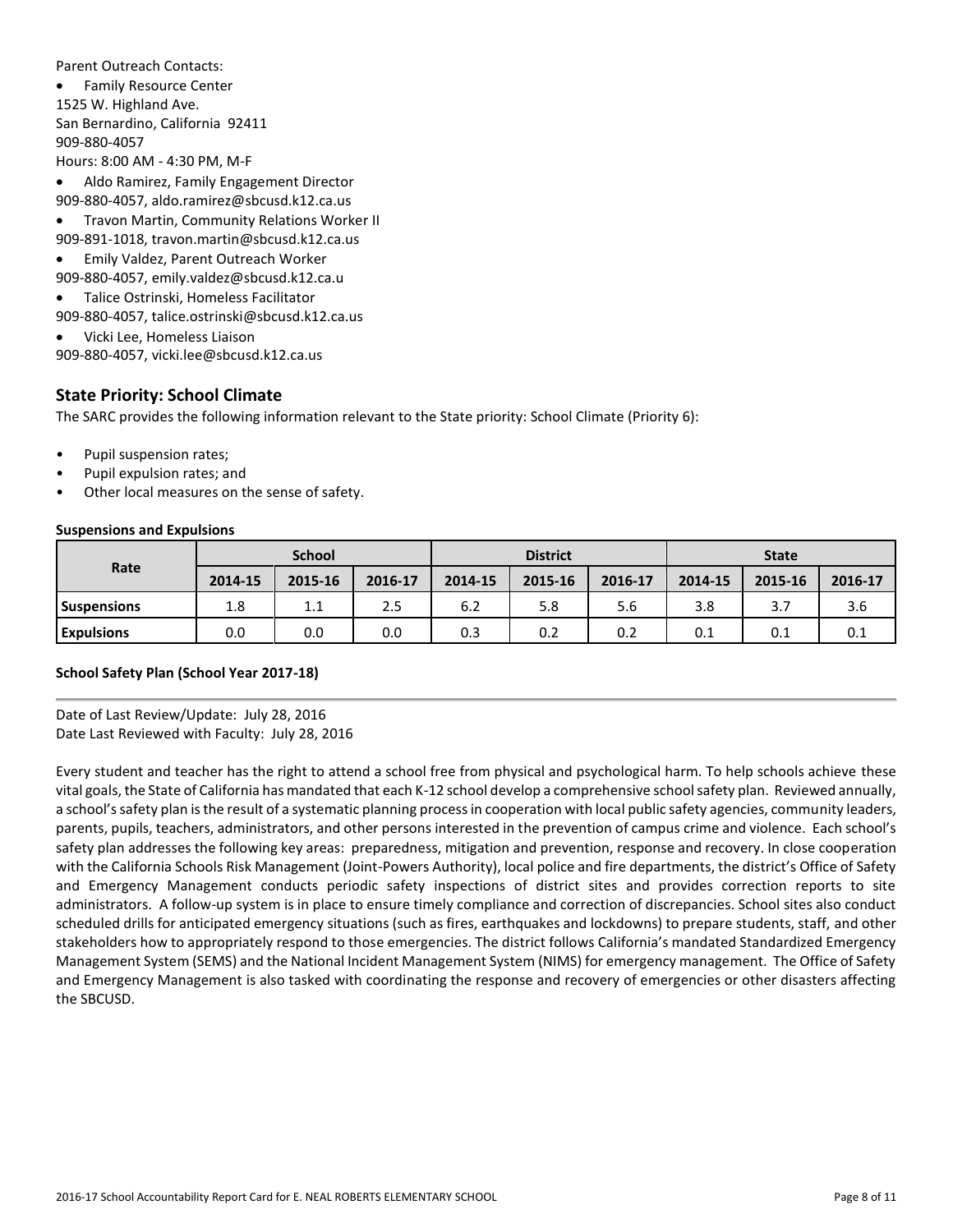Parent Outreach Contacts:

 Family Resource Center 1525 W. Highland Ave. San Bernardino, California 92411 909-880-4057 Hours: 8:00 AM - 4:30 PM, M-F

Aldo Ramirez, Family Engagement Director

909-880-4057, aldo.ramirez@sbcusd.k12.ca.us

Travon Martin, Community Relations Worker II

909-891-1018, travon.martin@sbcusd.k12.ca.us

- Emily Valdez, Parent Outreach Worker
- 909-880-4057, emily.valdez@sbcusd.k12.ca.u
- Talice Ostrinski, Homeless Facilitator

909-880-4057, talice.ostrinski@sbcusd.k12.ca.us

Vicki Lee, Homeless Liaison

909-880-4057, vicki.lee@sbcusd.k12.ca.us

# **State Priority: School Climate**

The SARC provides the following information relevant to the State priority: School Climate (Priority 6):

- Pupil suspension rates;
- Pupil expulsion rates; and
- Other local measures on the sense of safety.

#### **Suspensions and Expulsions**

|                    | <b>School</b> |         |         | <b>District</b> |         |         | <b>State</b> |         |         |
|--------------------|---------------|---------|---------|-----------------|---------|---------|--------------|---------|---------|
| Rate               | 2014-15       | 2015-16 | 2016-17 | 2014-15         | 2015-16 | 2016-17 | 2014-15      | 2015-16 | 2016-17 |
| <b>Suspensions</b> | 1.8           | 1.1     | 2.5     | 6.2             | 5.8     | 5.6     | 3.8          | 3.7     | 3.6     |
| <b>Expulsions</b>  | 0.0           | 0.0     | 0.0     | 0.3             | 0.2     | 0.2     | 0.1          | 0.1     | 0.1     |

#### **School Safety Plan (School Year 2017-18)**

Date of Last Review/Update: July 28, 2016 Date Last Reviewed with Faculty: July 28, 2016

Every student and teacher has the right to attend a school free from physical and psychological harm. To help schools achieve these vital goals, the State of California has mandated that each K-12 school develop a comprehensive school safety plan. Reviewed annually, a school's safety plan is the result of a systematic planning process in cooperation with local public safety agencies, community leaders, parents, pupils, teachers, administrators, and other persons interested in the prevention of campus crime and violence. Each school's safety plan addresses the following key areas: preparedness, mitigation and prevention, response and recovery. In close cooperation with the California Schools Risk Management (Joint-Powers Authority), local police and fire departments, the district's Office of Safety and Emergency Management conducts periodic safety inspections of district sites and provides correction reports to site administrators. A follow-up system is in place to ensure timely compliance and correction of discrepancies. School sites also conduct scheduled drills for anticipated emergency situations (such as fires, earthquakes and lockdowns) to prepare students, staff, and other stakeholders how to appropriately respond to those emergencies. The district follows California's mandated Standardized Emergency Management System (SEMS) and the National Incident Management System (NIMS) for emergency management. The Office of Safety and Emergency Management is also tasked with coordinating the response and recovery of emergencies or other disasters affecting the SBCUSD.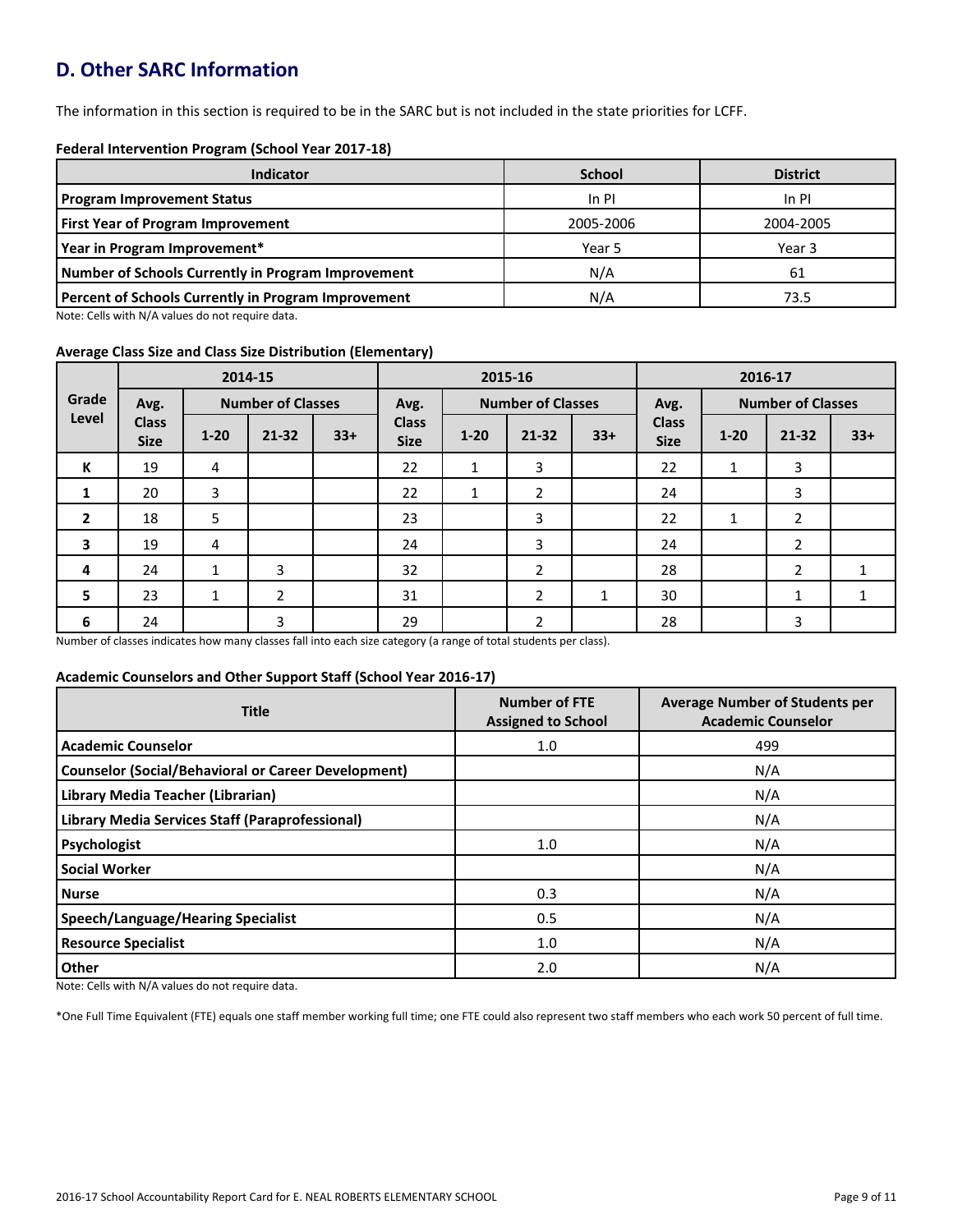# **D. Other SARC Information**

The information in this section is required to be in the SARC but is not included in the state priorities for LCFF.

#### **Federal Intervention Program (School Year 2017-18)**

| <b>Indicator</b>                                           | <b>School</b> | <b>District</b> |
|------------------------------------------------------------|---------------|-----------------|
| <b>Program Improvement Status</b>                          | In PI         | In PI           |
| <b>First Year of Program Improvement</b>                   | 2005-2006     | 2004-2005       |
| Year in Program Improvement*                               | Year 5        | Year 3          |
| Number of Schools Currently in Program Improvement         | N/A           | 61              |
| <b>Percent of Schools Currently in Program Improvement</b> | N/A           | 73.5            |

Note: Cells with N/A values do not require data.

#### **Average Class Size and Class Size Distribution (Elementary)**

|                |                             |              | 2014-15                  |       | 2015-16                     |          |                          |       | 2016-17                     |          |                          |              |
|----------------|-----------------------------|--------------|--------------------------|-------|-----------------------------|----------|--------------------------|-------|-----------------------------|----------|--------------------------|--------------|
| Grade          | Avg.                        |              | <b>Number of Classes</b> |       | Avg.                        |          | <b>Number of Classes</b> |       | Avg.                        |          | <b>Number of Classes</b> |              |
| Level          | <b>Class</b><br><b>Size</b> | $1 - 20$     | $21 - 32$                | $33+$ | <b>Class</b><br><b>Size</b> | $1 - 20$ | $21 - 32$                | $33+$ | <b>Class</b><br><b>Size</b> | $1 - 20$ | $21 - 32$                | $33+$        |
| К              | 19                          | 4            |                          |       | 22                          | 1        | 3                        |       | 22                          | 1        | 3                        |              |
| 1              | 20                          | 3            |                          |       | 22                          | 1        | $\overline{2}$           |       | 24                          |          | 3                        |              |
| $\overline{2}$ | 18                          | 5            |                          |       | 23                          |          | 3                        |       | 22                          | 1        | $\mathbf{2}$             |              |
| 3              | 19                          | 4            |                          |       | 24                          |          | 3                        |       | 24                          |          | $\overline{2}$           |              |
| 4              | 24                          | 1            | 3                        |       | 32                          |          | $\overline{2}$           |       | 28                          |          | $\overline{2}$           |              |
| 5              | 23                          | $\mathbf{1}$ | $\overline{2}$           |       | 31                          |          | $\overline{2}$           | 1     | 30                          |          | 1                        | $\mathbf{1}$ |
| 6              | 24                          |              | 3                        |       | 29                          |          | 2                        |       | 28                          |          | 3                        |              |

Number of classes indicates how many classes fall into each size category (a range of total students per class).

#### **Academic Counselors and Other Support Staff (School Year 2016-17)**

| <b>Title</b>                                               | <b>Number of FTE</b><br><b>Assigned to School</b> | <b>Average Number of Students per</b><br><b>Academic Counselor</b> |
|------------------------------------------------------------|---------------------------------------------------|--------------------------------------------------------------------|
| <b>Academic Counselor</b>                                  | 1.0                                               | 499                                                                |
| <b>Counselor (Social/Behavioral or Career Development)</b> |                                                   | N/A                                                                |
| Library Media Teacher (Librarian)                          |                                                   | N/A                                                                |
| <b>Library Media Services Staff (Paraprofessional)</b>     |                                                   | N/A                                                                |
| Psychologist                                               | 1.0                                               | N/A                                                                |
| <b>Social Worker</b>                                       |                                                   | N/A                                                                |
| <b>Nurse</b>                                               | 0.3                                               | N/A                                                                |
| <b>Speech/Language/Hearing Specialist</b>                  | 0.5                                               | N/A                                                                |
| <b>Resource Specialist</b>                                 | 1.0                                               | N/A                                                                |
| Other                                                      | 2.0                                               | N/A                                                                |

Note: Cells with N/A values do not require data.

\*One Full Time Equivalent (FTE) equals one staff member working full time; one FTE could also represent two staff members who each work 50 percent of full time.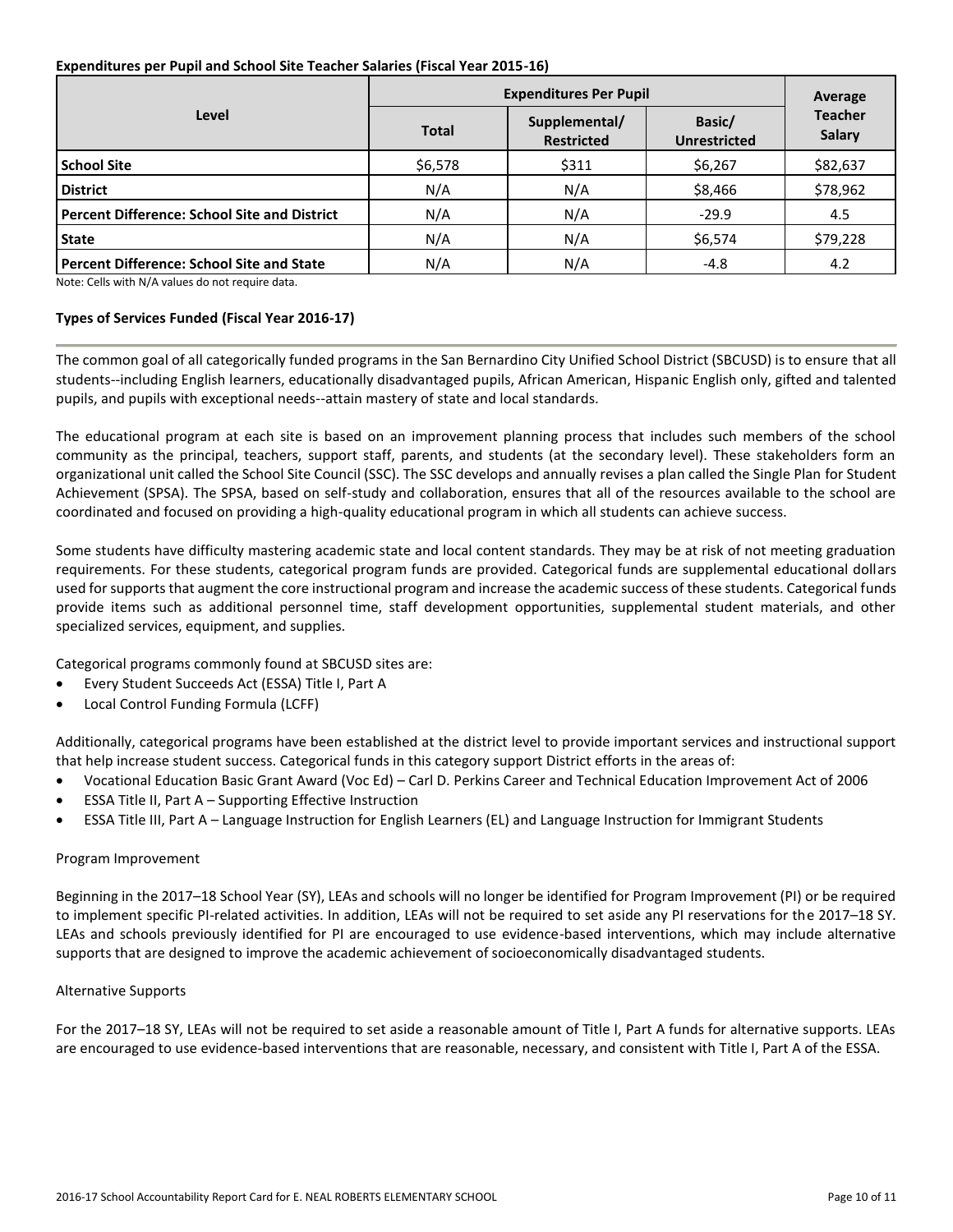#### **Expenditures per Pupil and School Site Teacher Salaries (Fiscal Year 2015-16)**

|                                                     | <b>Expenditures Per Pupil</b> | Average                            |                               |                                 |  |
|-----------------------------------------------------|-------------------------------|------------------------------------|-------------------------------|---------------------------------|--|
| Level                                               | <b>Total</b>                  | Supplemental/<br><b>Restricted</b> | Basic/<br><b>Unrestricted</b> | <b>Teacher</b><br><b>Salary</b> |  |
| <b>School Site</b>                                  | \$6,578                       | \$311                              | \$6,267                       | \$82,637                        |  |
| <b>District</b>                                     | N/A                           | N/A                                | \$8,466                       | \$78,962                        |  |
| <b>Percent Difference: School Site and District</b> | N/A                           | N/A                                | $-29.9$                       | 4.5                             |  |
| <b>State</b>                                        | N/A                           | N/A                                | \$6,574                       | \$79,228                        |  |
| <b>Percent Difference: School Site and State</b>    | N/A                           | N/A                                | $-4.8$                        | 4.2                             |  |

Note: Cells with N/A values do not require data.

#### **Types of Services Funded (Fiscal Year 2016-17)**

The common goal of all categorically funded programs in the San Bernardino City Unified School District (SBCUSD) is to ensure that all students--including English learners, educationally disadvantaged pupils, African American, Hispanic English only, gifted and talented pupils, and pupils with exceptional needs--attain mastery of state and local standards.

The educational program at each site is based on an improvement planning process that includes such members of the school community as the principal, teachers, support staff, parents, and students (at the secondary level). These stakeholders form an organizational unit called the School Site Council (SSC). The SSC develops and annually revises a plan called the Single Plan for Student Achievement (SPSA). The SPSA, based on self-study and collaboration, ensures that all of the resources available to the school are coordinated and focused on providing a high-quality educational program in which all students can achieve success.

Some students have difficulty mastering academic state and local content standards. They may be at risk of not meeting graduation requirements. For these students, categorical program funds are provided. Categorical funds are supplemental educational dollars used for supports that augment the core instructional program and increase the academic success of these students. Categorical funds provide items such as additional personnel time, staff development opportunities, supplemental student materials, and other specialized services, equipment, and supplies.

Categorical programs commonly found at SBCUSD sites are:

- Every Student Succeeds Act (ESSA) Title I, Part A
- Local Control Funding Formula (LCFF)

Additionally, categorical programs have been established at the district level to provide important services and instructional support that help increase student success. Categorical funds in this category support District efforts in the areas of:

- Vocational Education Basic Grant Award (Voc Ed) Carl D. Perkins Career and Technical Education Improvement Act of 2006
- ESSA Title II, Part A Supporting Effective Instruction
- ESSA Title III, Part A Language Instruction for English Learners (EL) and Language Instruction for Immigrant Students

#### Program Improvement

Beginning in the 2017–18 School Year (SY), LEAs and schools will no longer be identified for Program Improvement (PI) or be required to implement specific PI-related activities. In addition, LEAs will not be required to set aside any PI reservations for the 2017–18 SY. LEAs and schools previously identified for PI are encouraged to use evidence-based interventions, which may include alternative supports that are designed to improve the academic achievement of socioeconomically disadvantaged students.

#### Alternative Supports

For the 2017–18 SY, LEAs will not be required to set aside a reasonable amount of Title I, Part A funds for alternative supports. LEAs are encouraged to use evidence-based interventions that are reasonable, necessary, and consistent with Title I, Part A of the ESSA.